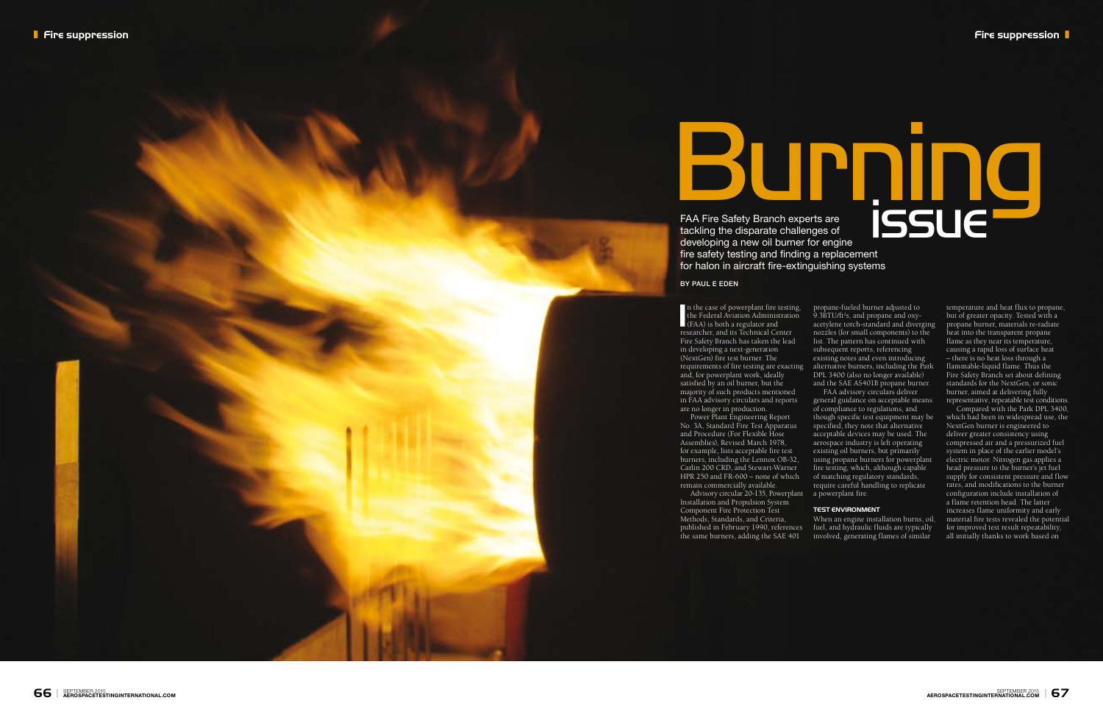

In the case of powerplant fire testing,<br>the Federal Aviation Administration<br>(FAA) is both a regulator and<br>researcher and its Technical Center the Federal Aviation Administration (FAA) is both a regulator and researcher, and its Technical Center Fire Safety Branch has taken the lead in developing a next-generation (NextGen) fire test burner. The and, for powerplant work, ideally satisfied by an oil burner, but the majority of such products mentioned in FAA advisory circulars and reports are no longer in production.

Power Plant Engineering Report No. 3A, Standard Fire Test Apparatus and Procedure (For Flexible Hose Assemblies), Revised March 1978, for example, lists acceptable fire test burners, including the Lennox OB-32, Carlin 200 CRD, and Stewart-Warner HPR 250 and FR-600 – none of which remain commercially available.

Advisory circular 20-135, Powerplant Installation and Propulsion System Component Fire Protection Test Methods, Standards, and Criteria, published in February 1990, references the same burners, adding the SAE 401

requirements of fire testing are exacting alternative burners, including the Park propane-fueled burner adjusted to 9.3BTU/ft 2s, and propane and oxyacetylene torch-standard and diverging nozzles (for small components) to the list. The pattern has continued with subsequent reports, referencing existing notes and even introducing DPL 3400 (also no longer available) and the SAE AS401B propane burner.

BY PAUL E EDEN

FAA advisory circulars deliver general guidance on acceptable means of compliance to regulations, and though specific test equipment may be specified, they note that alternative acceptable devices may be used. The aerospace industry is left operating existing oil burners, but primarily using propane burners for powerplant fire testing, which, although capable of matching regulatory standards, require careful handling to replicate a powerplant fire.

### **TEST ENVIRONMENT**

FAA Fire Safety Branch experts are tackling the disparate challenges of developing a new oil burner for engine fire safety testing and finding a replacement for halon in aircraft fire-extinguishing systems **BURNING** issue

> When an engine installation burns, oil, fuel, and hydraulic fluids are typically involved, generating flames of similar

temperature and heat flux to propane, but of greater opacity. Tested with a propane burner, materials re-radiate heat into the transparent propane flame as they near its temperature, causing a rapid loss of surface heat – there is no heat loss through a flammable-liquid flame. Thus the Fire Safety Branch set about defining standards for the NextGen, or sonic burner, aimed at delivering fully representative, repeatable test conditions.

Compared with the Park DPL 3400, which had been in widespread use, the NextGen burner is engineered to deliver greater consistency using compressed air and a pressurized fuel system in place of the earlier model's electric motor. Nitrogen gas applies a head pressure to the burner's jet fuel supply for consistent pressure and flow rates, and modifications to the burner configuration include installation of a flame retention head. The latter increases flame uniformity and early material fire tests revealed the potential for improved test result repeatability, all initially thanks to work based on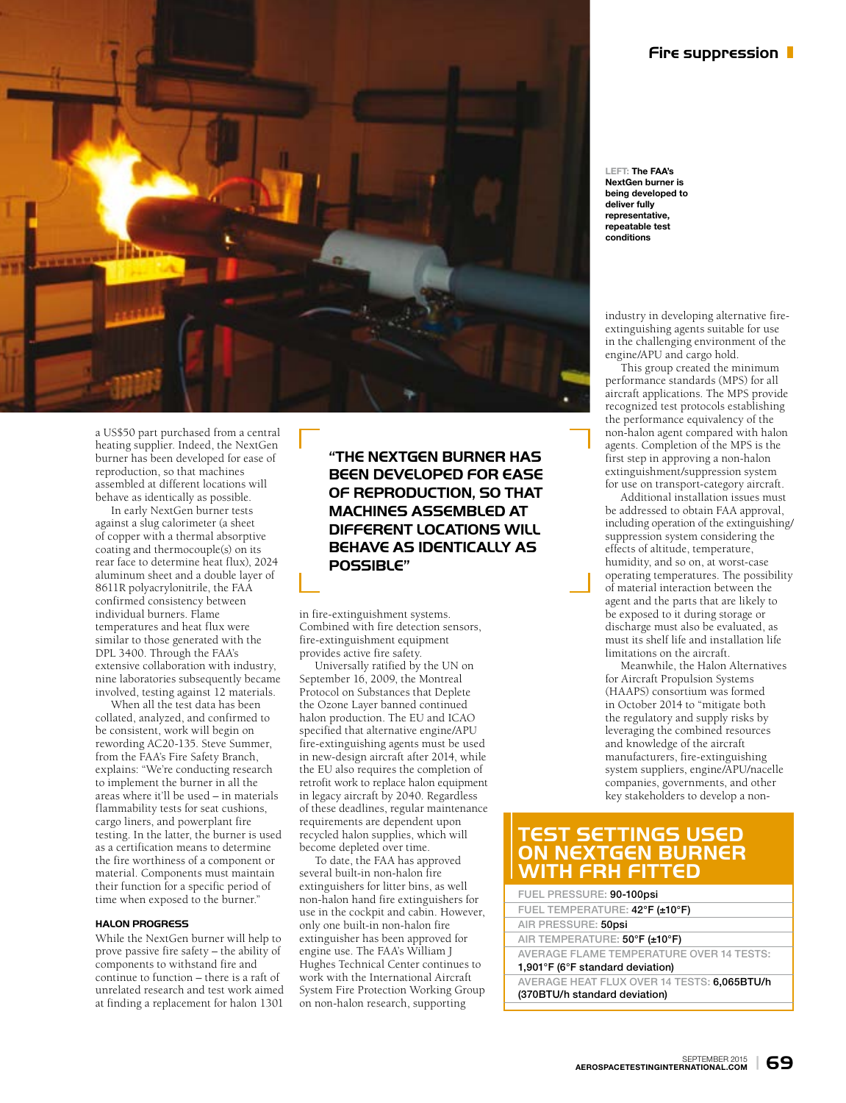

a US\$50 part purchased from a central heating supplier. Indeed, the NextGen burner has been developed for ease of reproduction, so that machines assembled at different locations will behave as identically as possible.

In early NextGen burner tests against a slug calorimeter (a sheet of copper with a thermal absorptive coating and thermocouple(s) on its rear face to determine heat flux), 2024 aluminum sheet and a double layer of 8611R polyacrylonitrile, the FAA confirmed consistency between individual burners. Flame temperatures and heat flux were similar to those generated with the DPL 3400. Through the FAA's extensive collaboration with industry, nine laboratories subsequently became involved, testing against 12 materials.

When all the test data has been collated, analyzed, and confirmed to be consistent, work will begin on rewording AC20-135. Steve Summer, from the FAA's Fire Safety Branch, explains: "We're conducting research to implement the burner in all the areas where it'll be used – in materials flammability tests for seat cushions, cargo liners, and powerplant fire testing. In the latter, the burner is used as a certification means to determine the fire worthiness of a component or material. Components must maintain their function for a specific period of time when exposed to the burner."

### **HALON PROGRESS**

While the NextGen burner will help to prove passive fire safety – the ability of components to withstand fire and continue to function – there is a raft of unrelated research and test work aimed at finding a replacement for halon 1301

**"THE NEXTGEN BURNER HAS BEEN DEVELOPED FOR EASE OF REPRODUCTION, SO THAT MACHINES ASSEMBLED AT DIFFERENT LOCATIONS WILL BEHAVE AS IDENTICALLY AS POSSIBLE"**

in fire-extinguishment systems. Combined with fire detection sensors, fire-extinguishment equipment provides active fire safety.

Universally ratified by the UN on September 16, 2009, the Montreal Protocol on Substances that Deplete the Ozone Layer banned continued halon production. The EU and ICAO specified that alternative engine/APU fire-extinguishing agents must be used in new-design aircraft after 2014, while the EU also requires the completion of retrofit work to replace halon equipment in legacy aircraft by 2040. Regardless of these deadlines, regular maintenance requirements are dependent upon recycled halon supplies, which will become depleted over time.

To date, the FAA has approved several built-in non-halon fire extinguishers for litter bins, as well non-halon hand fire extinguishers for use in the cockpit and cabin. However, only one built-in non-halon fire extinguisher has been approved for engine use. The FAA's William J Hughes Technical Center continues to work with the International Aircraft System Fire Protection Working Group on non-halon research, supporting

**LEFT: The FAA's NextGen burner is being developed to deliver fully representative, repeatable test conditions**

industry in developing alternative fireextinguishing agents suitable for use in the challenging environment of the engine/APU and cargo hold.

This group created the minimum performance standards (MPS) for all aircraft applications. The MPS provide recognized test protocols establishing the performance equivalency of the non-halon agent compared with halon agents. Completion of the MPS is the first step in approving a non-halon extinguishment/suppression system for use on transport-category aircraft.

Additional installation issues must be addressed to obtain FAA approval, including operation of the extinguishing/ suppression system considering the effects of altitude, temperature, humidity, and so on, at worst-case operating temperatures. The possibility of material interaction between the agent and the parts that are likely to be exposed to it during storage or discharge must also be evaluated, as must its shelf life and installation life limitations on the aircraft.

Meanwhile, the Halon Alternatives for Aircraft Propulsion Systems (HAAPS) consortium was formed in October 2014 to "mitigate both the regulatory and supply risks by leveraging the combined resources and knowledge of the aircraft manufacturers, fire-extinguishing system suppliers, engine/APU/nacelle companies, governments, and other key stakeholders to develop a non-

## **TEST SETTINGS USED ON NEXTGEN BURNER WITH FRH FITTED**

| FUEL PRESSURE: 90-100psi                             |
|------------------------------------------------------|
| FUEL TEMPERATURE: 42°F (±10°F)                       |
| AIR PRESSURE: 50psi                                  |
| AIR TEMPERATURE: 50°F (±10°F)                        |
| AVERAGE FLAME TEMPERATURE OVER 14 TESTS:             |
| 1,901 $\degree$ F (6 $\degree$ F standard deviation) |

AVERAGE HEAT FLUX OVER 14 TESTS: 6,065BTU/h (370BTU/h standard deviation)